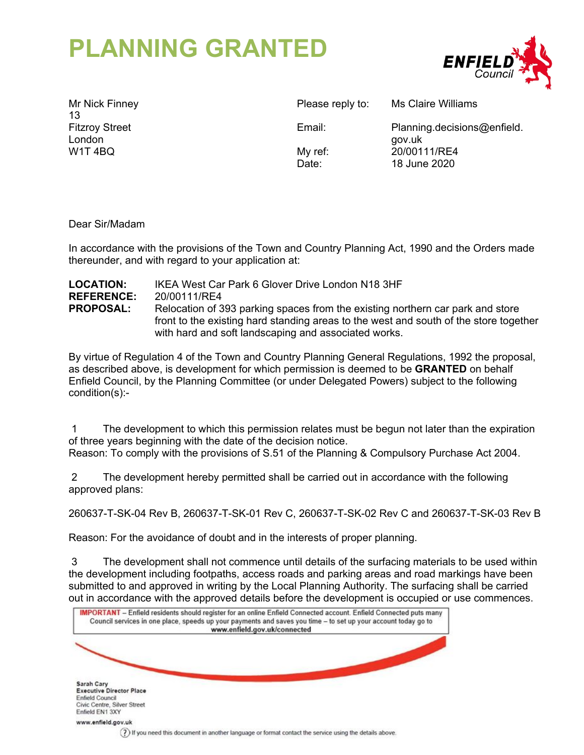# **PLANNING GRANTED**



Mr Nick Finney 13 Fitzroy Street London W1T 4BQ

Please reply to: Ms Claire Williams

Email: Planning.decisions@enfield. gov.uk My ref: 20/00111/RE4 Date: 18 June 2020

Dear Sir/Madam

In accordance with the provisions of the Town and Country Planning Act, 1990 and the Orders made thereunder, and with regard to your application at:

| <b>LOCATION:</b>  | IKEA West Car Park 6 Glover Drive London N18 3HF                                      |
|-------------------|---------------------------------------------------------------------------------------|
| <b>REFERENCE:</b> | 20/00111/RE4                                                                          |
| <b>PROPOSAL:</b>  | Relocation of 393 parking spaces from the existing northern car park and store        |
|                   | front to the existing hard standing areas to the west and south of the store together |
|                   | with hard and soft landscaping and associated works.                                  |

By virtue of Regulation 4 of the Town and Country Planning General Regulations, 1992 the proposal, as described above, is development for which permission is deemed to be **GRANTED** on behalf Enfield Council, by the Planning Committee (or under Delegated Powers) subject to the following condition(s):-

 1 The development to which this permission relates must be begun not later than the expiration of three years beginning with the date of the decision notice.

Reason: To comply with the provisions of S.51 of the Planning & Compulsory Purchase Act 2004.

 2 The development hereby permitted shall be carried out in accordance with the following approved plans:

260637-T-SK-04 Rev B, 260637-T-SK-01 Rev C, 260637-T-SK-02 Rev C and 260637-T-SK-03 Rev B

Reason: For the avoidance of doubt and in the interests of proper planning.

 3 The development shall not commence until details of the surfacing materials to be used within the development including footpaths, access roads and parking areas and road markings have been submitted to and approved in writing by the Local Planning Authority. The surfacing shall be carried out in accordance with the approved details before the development is occupied or use commences.

| IMPORTANT - Enfield residents should register for an online Enfield Connected account. Enfield Connected puts many<br>Council services in one place, speeds up your payments and saves you time - to set up your account today go to<br>www.enfield.gov.uk/connected |                                                                                                         |  |  |
|----------------------------------------------------------------------------------------------------------------------------------------------------------------------------------------------------------------------------------------------------------------------|---------------------------------------------------------------------------------------------------------|--|--|
|                                                                                                                                                                                                                                                                      |                                                                                                         |  |  |
| Sarah Cary<br><b>Executive Director Place</b><br><b>Enfield Council</b><br>Civic Centre, Silver Street<br>Enfield EN1 3XY                                                                                                                                            |                                                                                                         |  |  |
| www.enfield.gov.uk                                                                                                                                                                                                                                                   | 7) If you need this document in another language or format contact the service using the details above. |  |  |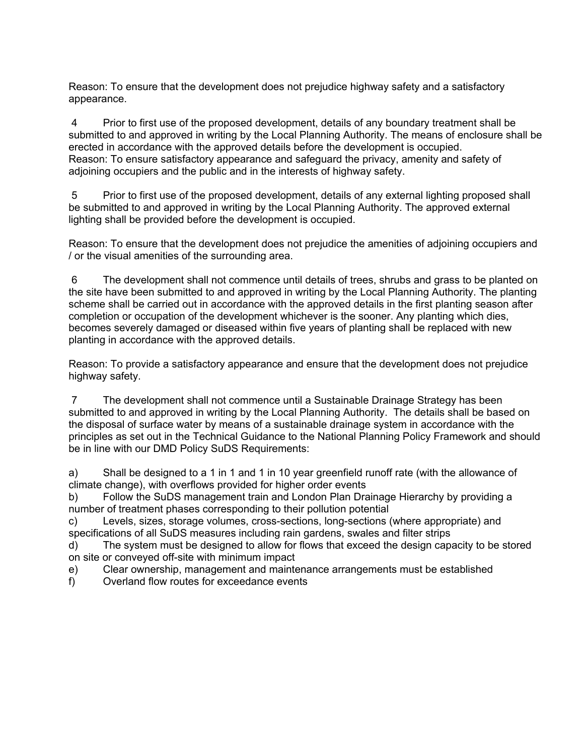Reason: To ensure that the development does not prejudice highway safety and a satisfactory appearance.

 4 Prior to first use of the proposed development, details of any boundary treatment shall be submitted to and approved in writing by the Local Planning Authority. The means of enclosure shall be erected in accordance with the approved details before the development is occupied. Reason: To ensure satisfactory appearance and safeguard the privacy, amenity and safety of adjoining occupiers and the public and in the interests of highway safety.

 5 Prior to first use of the proposed development, details of any external lighting proposed shall be submitted to and approved in writing by the Local Planning Authority. The approved external lighting shall be provided before the development is occupied.

Reason: To ensure that the development does not prejudice the amenities of adjoining occupiers and / or the visual amenities of the surrounding area.

 6 The development shall not commence until details of trees, shrubs and grass to be planted on the site have been submitted to and approved in writing by the Local Planning Authority. The planting scheme shall be carried out in accordance with the approved details in the first planting season after completion or occupation of the development whichever is the sooner. Any planting which dies, becomes severely damaged or diseased within five years of planting shall be replaced with new planting in accordance with the approved details.

Reason: To provide a satisfactory appearance and ensure that the development does not prejudice highway safety.

 7 The development shall not commence until a Sustainable Drainage Strategy has been submitted to and approved in writing by the Local Planning Authority. The details shall be based on the disposal of surface water by means of a sustainable drainage system in accordance with the principles as set out in the Technical Guidance to the National Planning Policy Framework and should be in line with our DMD Policy SuDS Requirements:

a) Shall be designed to a 1 in 1 and 1 in 10 year greenfield runoff rate (with the allowance of climate change), with overflows provided for higher order events

b) Follow the SuDS management train and London Plan Drainage Hierarchy by providing a number of treatment phases corresponding to their pollution potential

c) Levels, sizes, storage volumes, cross-sections, long-sections (where appropriate) and specifications of all SuDS measures including rain gardens, swales and filter strips

d) The system must be designed to allow for flows that exceed the design capacity to be stored on site or conveyed off-site with minimum impact

- e) Clear ownership, management and maintenance arrangements must be established
- f) Overland flow routes for exceedance events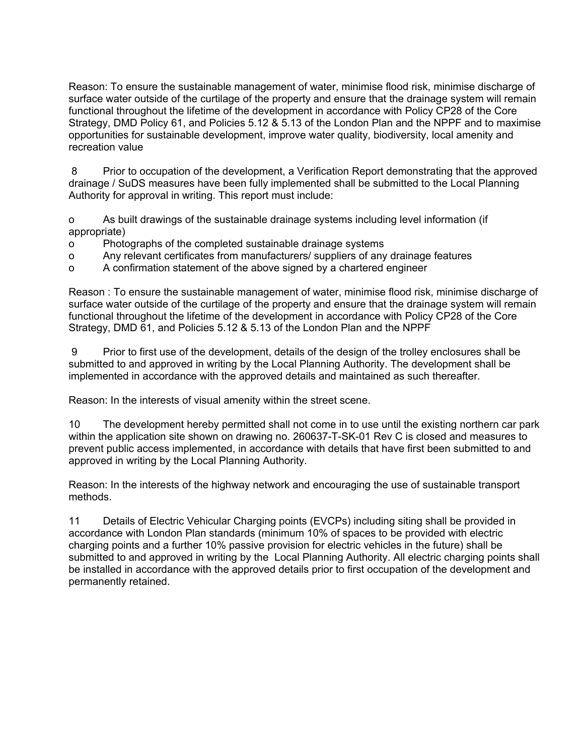Reason: To ensure the sustainable management of water, minimise flood risk, minimise discharge of surface water outside of the curtilage of the property and ensure that the drainage system will remain functional throughout the lifetime of the development in accordance with Policy CP28 of the Core Strategy, DMD Policy 61, and Policies 5.12 & 5.13 of the London Plan and the NPPF and to maximise opportunities for sustainable development, improve water quality, biodiversity, local amenity and recreation value

 8 Prior to occupation of the development, a Verification Report demonstrating that the approved drainage / SuDS measures have been fully implemented shall be submitted to the Local Planning Authority for approval in writing. This report must include:

o As built drawings of the sustainable drainage systems including level information (if appropriate)

- o Photographs of the completed sustainable drainage systems
- o Any relevant certificates from manufacturers/ suppliers of any drainage features

o A confirmation statement of the above signed by a chartered engineer

Reason : To ensure the sustainable management of water, minimise flood risk, minimise discharge of surface water outside of the curtilage of the property and ensure that the drainage system will remain functional throughout the lifetime of the development in accordance with Policy CP28 of the Core Strategy, DMD 61, and Policies 5.12 & 5.13 of the London Plan and the NPPF

 9 Prior to first use of the development, details of the design of the trolley enclosures shall be submitted to and approved in writing by the Local Planning Authority. The development shall be implemented in accordance with the approved details and maintained as such thereafter.

Reason: In the interests of visual amenity within the street scene.

10 The development hereby permitted shall not come in to use until the existing northern car park within the application site shown on drawing no. 260637-T-SK-01 Rev C is closed and measures to prevent public access implemented, in accordance with details that have first been submitted to and approved in writing by the Local Planning Authority.

Reason: In the interests of the highway network and encouraging the use of sustainable transport methods.

11 Details of Electric Vehicular Charging points (EVCPs) including siting shall be provided in accordance with London Plan standards (minimum 10% of spaces to be provided with electric charging points and a further 10% passive provision for electric vehicles in the future) shall be submitted to and approved in writing by the Local Planning Authority. All electric charging points shall be installed in accordance with the approved details prior to first occupation of the development and permanently retained.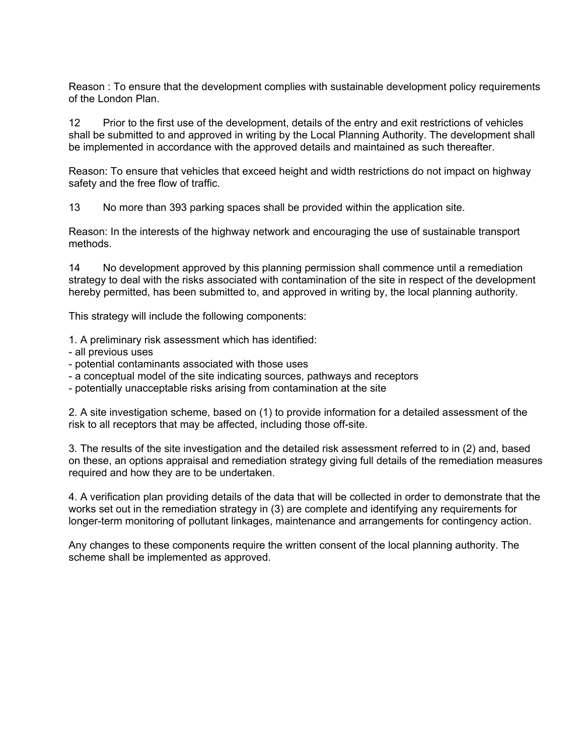Reason : To ensure that the development complies with sustainable development policy requirements of the London Plan.

12 Prior to the first use of the development, details of the entry and exit restrictions of vehicles shall be submitted to and approved in writing by the Local Planning Authority. The development shall be implemented in accordance with the approved details and maintained as such thereafter.

Reason: To ensure that vehicles that exceed height and width restrictions do not impact on highway safety and the free flow of traffic.

13 No more than 393 parking spaces shall be provided within the application site.

Reason: In the interests of the highway network and encouraging the use of sustainable transport methods.

14 No development approved by this planning permission shall commence until a remediation strategy to deal with the risks associated with contamination of the site in respect of the development hereby permitted, has been submitted to, and approved in writing by, the local planning authority.

This strategy will include the following components:

1. A preliminary risk assessment which has identified:

- all previous uses
- potential contaminants associated with those uses
- a conceptual model of the site indicating sources, pathways and receptors
- potentially unacceptable risks arising from contamination at the site

2. A site investigation scheme, based on (1) to provide information for a detailed assessment of the risk to all receptors that may be affected, including those off-site.

3. The results of the site investigation and the detailed risk assessment referred to in (2) and, based on these, an options appraisal and remediation strategy giving full details of the remediation measures required and how they are to be undertaken.

4. A verification plan providing details of the data that will be collected in order to demonstrate that the works set out in the remediation strategy in (3) are complete and identifying any requirements for longer-term monitoring of pollutant linkages, maintenance and arrangements for contingency action.

Any changes to these components require the written consent of the local planning authority. The scheme shall be implemented as approved.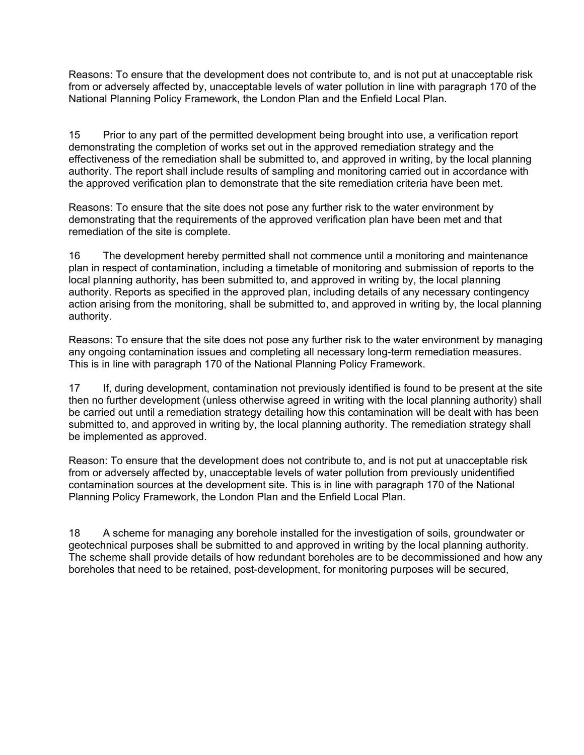Reasons: To ensure that the development does not contribute to, and is not put at unacceptable risk from or adversely affected by, unacceptable levels of water pollution in line with paragraph 170 of the National Planning Policy Framework, the London Plan and the Enfield Local Plan.

15 Prior to any part of the permitted development being brought into use, a verification report demonstrating the completion of works set out in the approved remediation strategy and the effectiveness of the remediation shall be submitted to, and approved in writing, by the local planning authority. The report shall include results of sampling and monitoring carried out in accordance with the approved verification plan to demonstrate that the site remediation criteria have been met.

Reasons: To ensure that the site does not pose any further risk to the water environment by demonstrating that the requirements of the approved verification plan have been met and that remediation of the site is complete.

16 The development hereby permitted shall not commence until a monitoring and maintenance plan in respect of contamination, including a timetable of monitoring and submission of reports to the local planning authority, has been submitted to, and approved in writing by, the local planning authority. Reports as specified in the approved plan, including details of any necessary contingency action arising from the monitoring, shall be submitted to, and approved in writing by, the local planning authority.

Reasons: To ensure that the site does not pose any further risk to the water environment by managing any ongoing contamination issues and completing all necessary long-term remediation measures. This is in line with paragraph 170 of the National Planning Policy Framework.

17 If, during development, contamination not previously identified is found to be present at the site then no further development (unless otherwise agreed in writing with the local planning authority) shall be carried out until a remediation strategy detailing how this contamination will be dealt with has been submitted to, and approved in writing by, the local planning authority. The remediation strategy shall be implemented as approved.

Reason: To ensure that the development does not contribute to, and is not put at unacceptable risk from or adversely affected by, unacceptable levels of water pollution from previously unidentified contamination sources at the development site. This is in line with paragraph 170 of the National Planning Policy Framework, the London Plan and the Enfield Local Plan.

18 A scheme for managing any borehole installed for the investigation of soils, groundwater or geotechnical purposes shall be submitted to and approved in writing by the local planning authority. The scheme shall provide details of how redundant boreholes are to be decommissioned and how any boreholes that need to be retained, post-development, for monitoring purposes will be secured,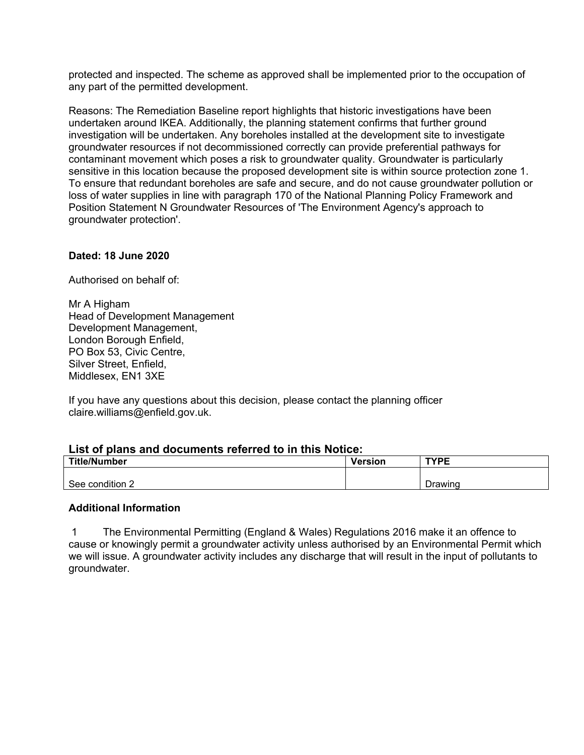protected and inspected. The scheme as approved shall be implemented prior to the occupation of any part of the permitted development.

Reasons: The Remediation Baseline report highlights that historic investigations have been undertaken around IKEA. Additionally, the planning statement confirms that further ground investigation will be undertaken. Any boreholes installed at the development site to investigate groundwater resources if not decommissioned correctly can provide preferential pathways for contaminant movement which poses a risk to groundwater quality. Groundwater is particularly sensitive in this location because the proposed development site is within source protection zone 1. To ensure that redundant boreholes are safe and secure, and do not cause groundwater pollution or loss of water supplies in line with paragraph 170 of the National Planning Policy Framework and Position Statement N Groundwater Resources of 'The Environment Agency's approach to groundwater protection'.

## **Dated: 18 June 2020**

Authorised on behalf of:

Mr A Higham Head of Development Management Development Management, London Borough Enfield, PO Box 53, Civic Centre, Silver Street, Enfield, Middlesex, EN1 3XE

If you have any questions about this decision, please contact the planning officer claire.williams@enfield.gov.uk.

#### **List of plans and documents referred to in this Notice:**

| <b>Title/Number</b> | <b>Version</b> | <b>TYPE</b> |
|---------------------|----------------|-------------|
| See condition 2     |                | Drawing     |

#### **Additional Information**

 1 The Environmental Permitting (England & Wales) Regulations 2016 make it an offence to cause or knowingly permit a groundwater activity unless authorised by an Environmental Permit which we will issue. A groundwater activity includes any discharge that will result in the input of pollutants to groundwater.